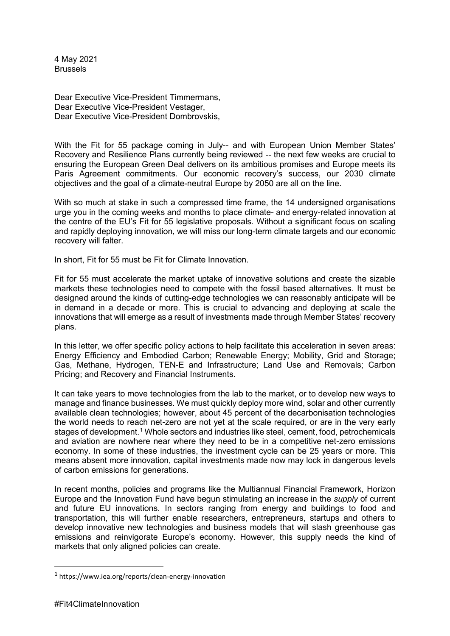4 May 2021 Brussels

Dear Executive Vice-President Timmermans, Dear Executive Vice-President Vestager, Dear Executive Vice-President Dombrovskis,

With the Fit for 55 package coming in July-- and with European Union Member States' Recovery and Resilience Plans currently being reviewed -- the next few weeks are crucial to ensuring the European Green Deal delivers on its ambitious promises and Europe meets its Paris Agreement commitments. Our economic recovery's success, our 2030 climate objectives and the goal of a climate-neutral Europe by 2050 are all on the line.

With so much at stake in such a compressed time frame, the 14 undersigned organisations urge you in the coming weeks and months to place climate- and energy-related innovation at the centre of the EU's Fit for 55 legislative proposals. Without a significant focus on scaling and rapidly deploying innovation, we will miss our long-term climate targets and our economic recovery will falter.

In short, Fit for 55 must be Fit for Climate Innovation.

Fit for 55 must accelerate the market uptake of innovative solutions and create the sizable markets these technologies need to compete with the fossil based alternatives. It must be designed around the kinds of cutting-edge technologies we can reasonably anticipate will be in demand in a decade or more. This is crucial to advancing and deploying at scale the innovations that will emerge as a result of investments made through Member States' recovery plans.

In this letter, we offer specific policy actions to help facilitate this acceleration in seven areas: Energy Efficiency and Embodied Carbon; Renewable Energy; Mobility, Grid and Storage; Gas, Methane, Hydrogen, TEN-E and Infrastructure; Land Use and Removals; Carbon Pricing; and Recovery and Financial Instruments.

It can take years to move technologies from the lab to the market, or to develop new ways to manage and finance businesses. We must quickly deploy more wind, solar and other currently available clean technologies; however, about 45 percent of the decarbonisation technologies the world needs to reach net-zero are not yet at the scale required, or are in the very early stages of development.<sup>[1](#page-0-0)</sup> Whole sectors and industries like steel, cement, food, petrochemicals and aviation are nowhere near where they need to be in a competitive net-zero emissions economy. In some of these industries, the investment cycle can be 25 years or more. This means absent more innovation, capital investments made now may lock in dangerous levels of carbon emissions for generations.

In recent months, policies and programs like the Multiannual Financial Framework, Horizon Europe and the Innovation Fund have begun stimulating an increase in the *supply* of current and future EU innovations. In sectors ranging from energy and buildings to food and transportation, this will further enable researchers, entrepreneurs, startups and others to develop innovative new technologies and business models that will slash greenhouse gas emissions and reinvigorate Europe's economy. However, this supply needs the kind of markets that only aligned policies can create.

<span id="page-0-0"></span> <sup>1</sup> https://www.iea.org/reports/clean-energy-innovation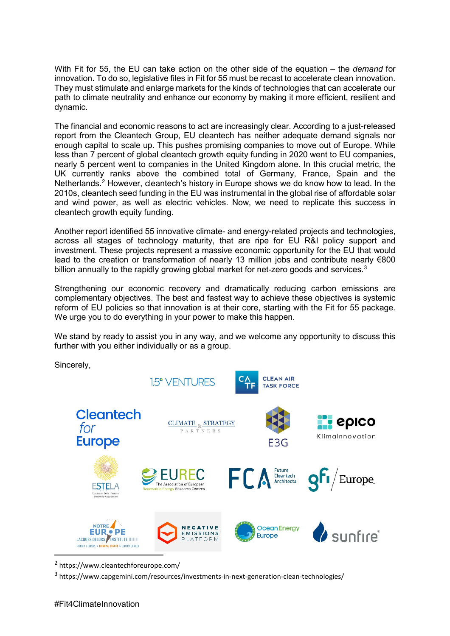With Fit for 55, the EU can take action on the other side of the equation – the *demand* for innovation. To do so, legislative files in Fit for 55 must be recast to accelerate clean innovation. They must stimulate and enlarge markets for the kinds of technologies that can accelerate our path to climate neutrality and enhance our economy by making it more efficient, resilient and dynamic.

The financial and economic reasons to act are increasingly clear. According to a just-released report from the Cleantech Group, EU cleantech has neither adequate demand signals nor enough capital to scale up. This pushes promising companies to move out of Europe. While less than 7 percent of global cleantech growth equity funding in 2020 went to EU companies, nearly 5 percent went to companies in the United Kingdom alone. In this crucial metric, the UK currently ranks above the combined total of Germany, France, Spain and the Netherlands.<sup>[2](#page-1-0)</sup> However, cleantech's history in Europe shows we do know how to lead. In the 2010s, cleantech seed funding in the EU was instrumental in the global rise of affordable solar and wind power, as well as electric vehicles. Now, we need to replicate this success in cleantech growth equity funding.

Another report identified 55 innovative climate- and energy-related projects and technologies, across all stages of technology maturity, that are ripe for EU R&I policy support and investment. These projects represent a massive economic opportunity for the EU that would lead to the creation or transformation of nearly 13 million jobs and contribute nearly €800 billion annually to the rapidly growing global market for net-zero goods and services. $3$ 

Strengthening our economic recovery and dramatically reducing carbon emissions are complementary objectives. The best and fastest way to achieve these objectives is systemic reform of EU policies so that innovation is at their core, starting with the Fit for 55 package. We urge you to do everything in your power to make this happen.

We stand by ready to assist you in any way, and we welcome any opportunity to discuss this further with you either individually or as a group.

Sincerely,



<span id="page-1-0"></span>2 https://www.cleantechforeurope.com/

<span id="page-1-1"></span><sup>3</sup> https://www.capgemini.com/resources/investments-in-next-generation-clean-technologies/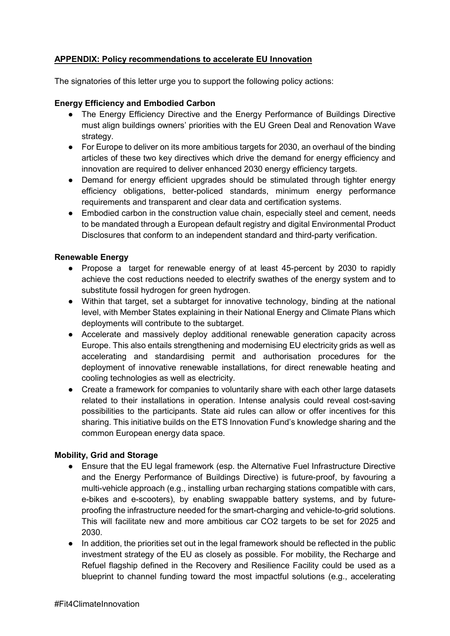# **APPENDIX: Policy recommendations to accelerate EU Innovation**

The signatories of this letter urge you to support the following policy actions:

### **Energy Efficiency and Embodied Carbon**

- The Energy Efficiency Directive and the Energy Performance of Buildings Directive must align buildings owners' priorities with the EU Green Deal and Renovation Wave strategy.
- For Europe to deliver on its more ambitious targets for 2030, an overhaul of the binding articles of these two key directives which drive the demand for energy efficiency and innovation are required to deliver enhanced 2030 energy efficiency targets.
- Demand for energy efficient upgrades should be stimulated through tighter energy efficiency obligations, better-policed standards, minimum energy performance requirements and transparent and clear data and certification systems.
- Embodied carbon in the construction value chain, especially steel and cement, needs to be mandated through a European default registry and digital Environmental Product Disclosures that conform to an independent standard and third-party verification.

### **Renewable Energy**

- Propose a target for renewable energy of at least 45-percent by 2030 to rapidly achieve the cost reductions needed to electrify swathes of the energy system and to substitute fossil hydrogen for green hydrogen.
- Within that target, set a subtarget for innovative technology, binding at the national level, with Member States explaining in their National Energy and Climate Plans which deployments will contribute to the subtarget.
- Accelerate and massively deploy additional renewable generation capacity across Europe. This also entails strengthening and modernising EU electricity grids as well as accelerating and standardising permit and authorisation procedures for the deployment of innovative renewable installations, for direct renewable heating and cooling technologies as well as electricity.
- Create a framework for companies to voluntarily share with each other large datasets related to their installations in operation. Intense analysis could reveal cost-saving possibilities to the participants. State aid rules can allow or offer incentives for this sharing. This initiative builds on the ETS Innovation Fund's knowledge sharing and the common European energy data space.

#### **Mobility, Grid and Storage**

- Ensure that the EU legal framework (esp. the Alternative Fuel Infrastructure Directive and the Energy Performance of Buildings Directive) is future-proof, by favouring a multi-vehicle approach (e.g., installing urban recharging stations compatible with cars, e-bikes and e-scooters), by enabling swappable battery systems, and by futureproofing the infrastructure needed for the smart-charging and vehicle-to-grid solutions. This will facilitate new and more ambitious car CO2 targets to be set for 2025 and 2030.
- In addition, the priorities set out in the legal framework should be reflected in the public investment strategy of the EU as closely as possible. For mobility, the Recharge and Refuel flagship defined in the Recovery and Resilience Facility could be used as a blueprint to channel funding toward the most impactful solutions (e.g., accelerating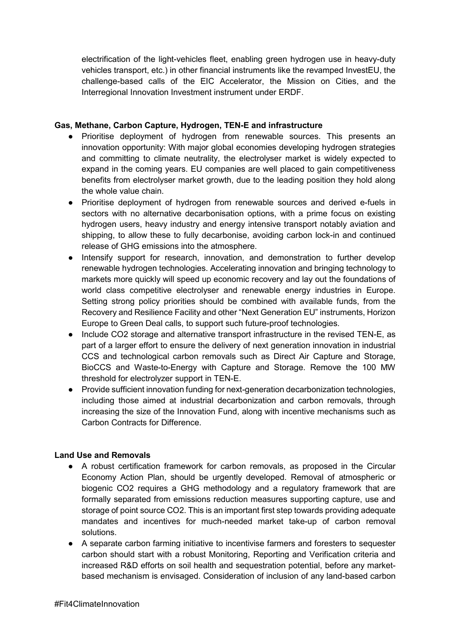electrification of the light-vehicles fleet, enabling green hydrogen use in heavy-duty vehicles transport, etc.) in other financial instruments like the revamped InvestEU, the challenge-based calls of the EIC Accelerator, the Mission on Cities, and the Interregional Innovation Investment instrument under ERDF.

## **Gas, Methane, Carbon Capture, Hydrogen, TEN-E and infrastructure**

- Prioritise deployment of hydrogen from renewable sources. This presents an innovation opportunity: With major global economies developing hydrogen strategies and committing to climate neutrality, the electrolyser market is widely expected to expand in the coming years. EU companies are well placed to gain competitiveness benefits from electrolyser market growth, due to the leading position they hold along the whole value chain.
- Prioritise deployment of hydrogen from renewable sources and derived e-fuels in sectors with no alternative decarbonisation options, with a prime focus on existing hydrogen users, heavy industry and energy intensive transport notably aviation and shipping, to allow these to fully decarbonise, avoiding carbon lock-in and continued release of GHG emissions into the atmosphere.
- Intensify support for research, innovation, and demonstration to further develop renewable hydrogen technologies. Accelerating innovation and bringing technology to markets more quickly will speed up economic recovery and lay out the foundations of world class competitive electrolyser and renewable energy industries in Europe. Setting strong policy priorities should be combined with available funds, from the Recovery and Resilience Facility and other "Next Generation EU" instruments, Horizon Europe to Green Deal calls, to support such future-proof technologies.
- Include CO2 storage and alternative transport infrastructure in the revised TEN-E, as part of a larger effort to ensure the delivery of next generation innovation in industrial CCS and technological carbon removals such as Direct Air Capture and Storage, BioCCS and Waste-to-Energy with Capture and Storage. Remove the 100 MW threshold for electrolyzer support in TEN-E.
- Provide sufficient innovation funding for next-generation decarbonization technologies, including those aimed at industrial decarbonization and carbon removals, through increasing the size of the Innovation Fund, along with incentive mechanisms such as Carbon Contracts for Difference.

# **Land Use and Removals**

- A robust certification framework for carbon removals, as proposed in the Circular Economy Action Plan, should be urgently developed. Removal of atmospheric or biogenic CO2 requires a GHG methodology and a regulatory framework that are formally separated from emissions reduction measures supporting capture, use and storage of point source CO2. This is an important first step towards providing adequate mandates and incentives for much-needed market take-up of carbon removal solutions.
- A separate carbon farming initiative to incentivise farmers and foresters to sequester carbon should start with a robust Monitoring, Reporting and Verification criteria and increased R&D efforts on soil health and sequestration potential, before any marketbased mechanism is envisaged. Consideration of inclusion of any land-based carbon